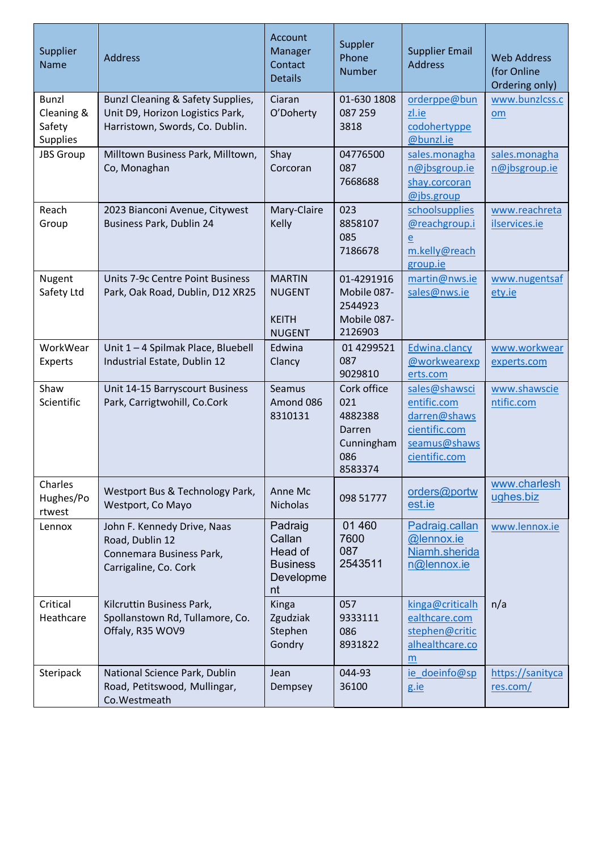| Supplier<br><b>Name</b>                                 | <b>Address</b>                                                                                           | Account<br>Manager<br>Contact<br><b>Details</b>                    | Suppler<br>Phone<br><b>Number</b>                                       | <b>Supplier Email</b><br><b>Address</b>                                                        | <b>Web Address</b><br>(for Online<br>Ordering only) |
|---------------------------------------------------------|----------------------------------------------------------------------------------------------------------|--------------------------------------------------------------------|-------------------------------------------------------------------------|------------------------------------------------------------------------------------------------|-----------------------------------------------------|
| <b>Bunzl</b><br>Cleaning &<br>Safety<br><b>Supplies</b> | Bunzl Cleaning & Safety Supplies,<br>Unit D9, Horizon Logistics Park,<br>Harristown, Swords, Co. Dublin. | Ciaran<br>O'Doherty                                                | 01-630 1808<br>087 259<br>3818                                          | orderppe@bun<br>zl.ie<br>codohertyppe<br>@bunzl.ie                                             | www.bunzlcss.c<br><b>om</b>                         |
| <b>JBS</b> Group                                        | Milltown Business Park, Milltown,<br>Co, Monaghan                                                        | Shay<br>Corcoran                                                   | 04776500<br>087<br>7668688                                              | sales.monagha<br>n@jbsgroup.ie<br>shay.corcoran<br>@ibs.group                                  | sales.monagha<br>n@jbsgroup.ie                      |
| Reach<br>Group                                          | 2023 Bianconi Avenue, Citywest<br>Business Park, Dublin 24                                               | Mary-Claire<br>Kelly                                               | 023<br>8858107<br>085<br>7186678                                        | schoolsupplies<br>@reachgroup.i<br>e<br>m.kelly@reach<br>group.ie                              | www.reachreta<br>ilservices.ie                      |
| Nugent<br>Safety Ltd                                    | Units 7-9c Centre Point Business<br>Park, Oak Road, Dublin, D12 XR25                                     | <b>MARTIN</b><br><b>NUGENT</b><br><b>KEITH</b><br><b>NUGENT</b>    | 01-4291916<br>Mobile 087-<br>2544923<br>Mobile 087-<br>2126903          | martin@nws.ie<br>sales@nws.ie                                                                  | www.nugentsaf<br>ety.ie                             |
| WorkWear<br>Experts                                     | Unit 1-4 Spilmak Place, Bluebell<br>Industrial Estate, Dublin 12                                         | Edwina<br>Clancy                                                   | 01 4299521<br>087<br>9029810                                            | Edwina.clancy<br>@workwearexp<br>erts.com                                                      | www.workwear<br>experts.com                         |
| Shaw<br>Scientific                                      | Unit 14-15 Barryscourt Business<br>Park, Carrigtwohill, Co.Cork                                          | <b>Seamus</b><br>Amond 086<br>8310131                              | Cork office<br>021<br>4882388<br>Darren<br>Cunningham<br>086<br>8583374 | sales@shawsci<br>entific.com<br>darren@shaws<br>cientific.com<br>seamus@shaws<br>cientific.com | www.shawscie<br>ntific.com                          |
| Charles<br>Hughes/Po<br>rtwest                          | Westport Bus & Technology Park,<br>Westport, Co Mayo                                                     | Anne Mc<br><b>Nicholas</b>                                         | 098 51777                                                               | orders@portw<br>est.ie                                                                         | www.charlesh<br>ughes.biz                           |
| Lennox                                                  | John F. Kennedy Drive, Naas<br>Road, Dublin 12<br>Connemara Business Park,<br>Carrigaline, Co. Cork      | Padraig<br>Callan<br>Head of<br><b>Business</b><br>Developme<br>nt | 01 460<br>7600<br>087<br>2543511                                        | Padraig.callan<br>@lennox.ie<br>Niamh.sherida<br>n@lennox.ie                                   | www.lennox.ie                                       |
| Critical<br>Heathcare                                   | Kilcruttin Business Park,<br>Spollanstown Rd, Tullamore, Co.<br>Offaly, R35 WOV9                         | Kinga<br>Zgudziak<br>Stephen<br>Gondry                             | 057<br>9333111<br>086<br>8931822                                        | kinga@criticalh<br>ealthcare.com<br>stephen@critic<br>alhealthcare.co<br>m                     | n/a                                                 |
| Steripack                                               | National Science Park, Dublin<br>Road, Petitswood, Mullingar,<br>Co.Westmeath                            | Jean<br>Dempsey                                                    | 044-93<br>36100                                                         | ie doeinfo@sp<br>g.ie                                                                          | https://sanityca<br>res.com/                        |